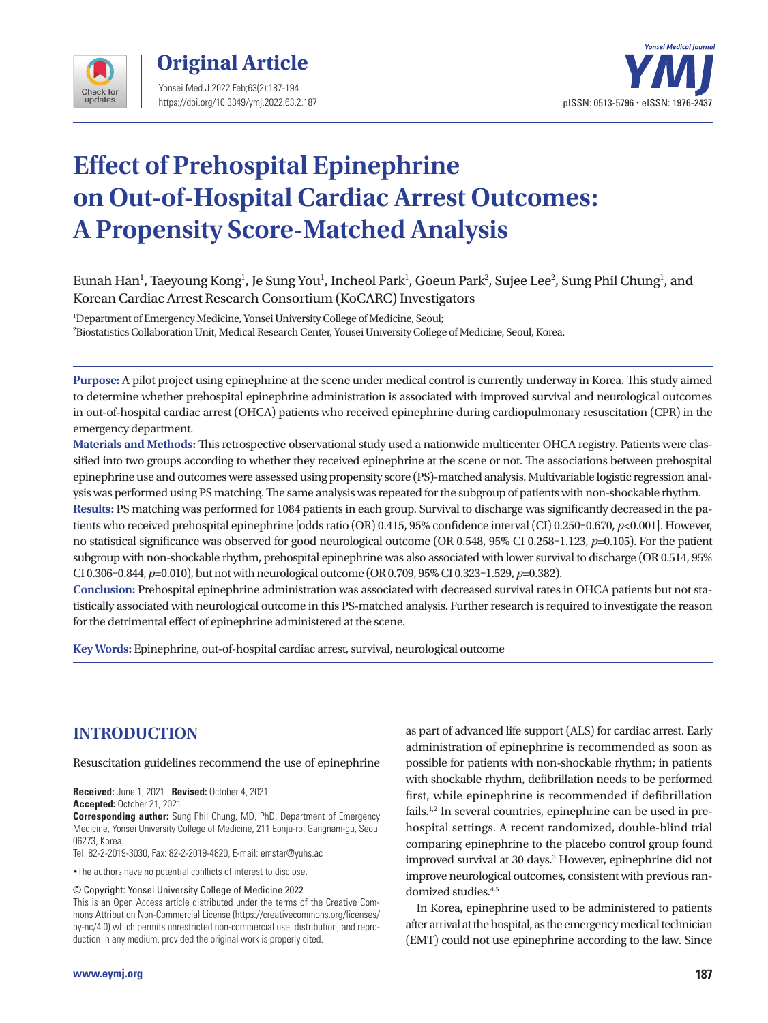



# **Effect of Prehospital Epinephrine on Out-of-Hospital Cardiac Arrest Outcomes: A Propensity Score-Matched Analysis**

## Eunah Han<sup>1</sup>, Taeyoung Kong<sup>1</sup>, Je Sung You<sup>1</sup>, Incheol Park<sup>1</sup>, Goeun Park<sup>2</sup>, Sujee Lee<sup>2</sup>, Sung Phil Chung<sup>1</sup>, and Korean Cardiac Arrest Research Consortium (KoCARC) Investigators

1 Department of Emergency Medicine, Yonsei University College of Medicine, Seoul; 2 Biostatistics Collaboration Unit, Medical Research Center, Yousei University College of Medicine, Seoul, Korea.

**Purpose:** A pilot project using epinephrine at the scene under medical control is currently underway in Korea. This study aimed to determine whether prehospital epinephrine administration is associated with improved survival and neurological outcomes in out-of-hospital cardiac arrest (OHCA) patients who received epinephrine during cardiopulmonary resuscitation (CPR) in the emergency department.

**Materials and Methods:** This retrospective observational study used a nationwide multicenter OHCA registry. Patients were classified into two groups according to whether they received epinephrine at the scene or not. The associations between prehospital epinephrine use and outcomes were assessed using propensity score (PS)-matched analysis. Multivariable logistic regression analysis was performed using PS matching. The same analysis was repeated for the subgroup of patients with non-shockable rhythm.

**Results:** PS matching was performed for 1084 patients in each group. Survival to discharge was significantly decreased in the patients who received prehospital epinephrine [odds ratio (OR) 0.415, 95% confidence interval (CI) 0.250-0.670, *p*<0.001]. However, no statistical significance was observed for good neurological outcome (OR 0.548, 95% CI 0.258–1.123, *p*=0.105). For the patient subgroup with non-shockable rhythm, prehospital epinephrine was also associated with lower survival to discharge (OR 0.514, 95% CI 0.306–0.844, *p*=0.010), but not with neurological outcome (OR 0.709, 95% CI 0.323–1.529, *p*=0.382).

**Conclusion:** Prehospital epinephrine administration was associated with decreased survival rates in OHCA patients but not statistically associated with neurological outcome in this PS-matched analysis. Further research is required to investigate the reason for the detrimental effect of epinephrine administered at the scene.

**Key Words:** Epinephrine, out-of-hospital cardiac arrest, survival, neurological outcome

# **INTRODUCTION**

Resuscitation guidelines recommend the use of epinephrine

**Received:** June 1, 2021 **Revised:** October 4, 2021 **Accepted:** October 21, 2021

**Corresponding author:** Sung Phil Chung, MD, PhD, Department of Emergency Medicine, Yonsei University College of Medicine, 211 Eonju-ro, Gangnam-gu, Seoul 06273, Korea.

Tel: 82-2-2019-3030, Fax: 82-2-2019-4820, E-mail: emstar@yuhs.ac

•The authors have no potential conflicts of interest to disclose.

© Copyright: Yonsei University College of Medicine 2022

This is an Open Access article distributed under the terms of the Creative Commons Attribution Non-Commercial License (https://creativecommons.org/licenses/ by-nc/4.0) which permits unrestricted non-commercial use, distribution, and reproduction in any medium, provided the original work is properly cited.

as part of advanced life support (ALS) for cardiac arrest. Early administration of epinephrine is recommended as soon as possible for patients with non-shockable rhythm; in patients with shockable rhythm, defibrillation needs to be performed first, while epinephrine is recommended if defibrillation fails.<sup>1,2</sup> In several countries, epinephrine can be used in prehospital settings. A recent randomized, double-blind trial comparing epinephrine to the placebo control group found improved survival at 30 days.<sup>3</sup> However, epinephrine did not improve neurological outcomes, consistent with previous randomized studies.<sup>4,5</sup>

In Korea, epinephrine used to be administered to patients after arrival at the hospital, as the emergency medical technician (EMT) could not use epinephrine according to the law. Since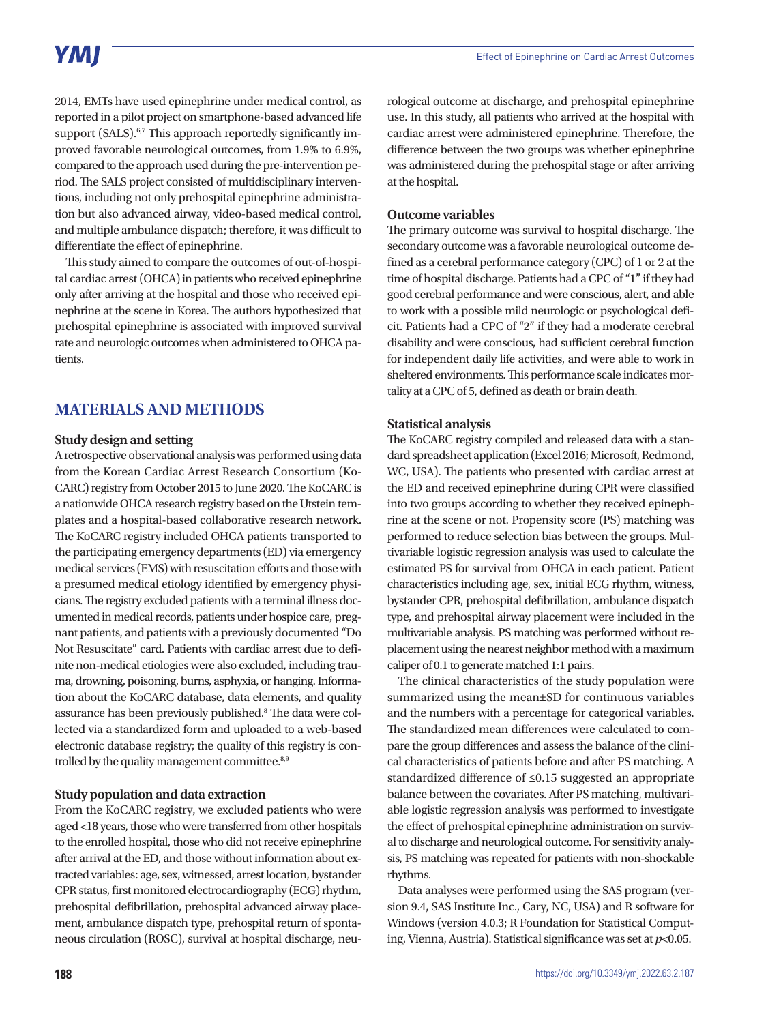2014, EMTs have used epinephrine under medical control, as reported in a pilot project on smartphone-based advanced life support (SALS).<sup>6,7</sup> This approach reportedly significantly improved favorable neurological outcomes, from 1.9% to 6.9%, compared to the approach used during the pre-intervention period. The SALS project consisted of multidisciplinary interventions, including not only prehospital epinephrine administration but also advanced airway, video-based medical control, and multiple ambulance dispatch; therefore, it was difficult to differentiate the effect of epinephrine.

This study aimed to compare the outcomes of out-of-hospital cardiac arrest (OHCA) in patients who received epinephrine only after arriving at the hospital and those who received epinephrine at the scene in Korea. The authors hypothesized that prehospital epinephrine is associated with improved survival rate and neurologic outcomes when administered to OHCA patients.

### **MATERIALS AND METHODS**

#### **Study design and setting**

A retrospective observational analysis was performed using data from the Korean Cardiac Arrest Research Consortium (Ko-CARC) registry from October 2015 to June 2020. The KoCARC is a nationwide OHCA research registry based on the Utstein templates and a hospital-based collaborative research network. The KoCARC registry included OHCA patients transported to the participating emergency departments (ED) via emergency medical services (EMS) with resuscitation efforts and those with a presumed medical etiology identified by emergency physicians. The registry excluded patients with a terminal illness documented in medical records, patients under hospice care, pregnant patients, and patients with a previously documented "Do Not Resuscitate" card. Patients with cardiac arrest due to definite non-medical etiologies were also excluded, including trauma, drowning, poisoning, burns, asphyxia, or hanging. Information about the KoCARC database, data elements, and quality assurance has been previously published.<sup>8</sup> The data were collected via a standardized form and uploaded to a web-based electronic database registry; the quality of this registry is controlled by the quality management committee.<sup>8,9</sup>

#### **Study population and data extraction**

From the KoCARC registry, we excluded patients who were aged <18 years, those who were transferred from other hospitals to the enrolled hospital, those who did not receive epinephrine after arrival at the ED, and those without information about extracted variables: age, sex, witnessed, arrest location, bystander CPR status, first monitored electrocardiography (ECG) rhythm, prehospital defibrillation, prehospital advanced airway placement, ambulance dispatch type, prehospital return of spontaneous circulation (ROSC), survival at hospital discharge, neu-

rological outcome at discharge, and prehospital epinephrine use. In this study, all patients who arrived at the hospital with cardiac arrest were administered epinephrine. Therefore, the difference between the two groups was whether epinephrine was administered during the prehospital stage or after arriving at the hospital.

#### **Outcome variables**

The primary outcome was survival to hospital discharge. The secondary outcome was a favorable neurological outcome defined as a cerebral performance category (CPC) of 1 or 2 at the time of hospital discharge. Patients had a CPC of "1" if they had good cerebral performance and were conscious, alert, and able to work with a possible mild neurologic or psychological deficit. Patients had a CPC of "2" if they had a moderate cerebral disability and were conscious, had sufficient cerebral function for independent daily life activities, and were able to work in sheltered environments. This performance scale indicates mortality at a CPC of 5, defined as death or brain death.

#### **Statistical analysis**

The KoCARC registry compiled and released data with a standard spreadsheet application (Excel 2016; Microsoft, Redmond, WC, USA). The patients who presented with cardiac arrest at the ED and received epinephrine during CPR were classified into two groups according to whether they received epinephrine at the scene or not. Propensity score (PS) matching was performed to reduce selection bias between the groups. Multivariable logistic regression analysis was used to calculate the estimated PS for survival from OHCA in each patient. Patient characteristics including age, sex, initial ECG rhythm, witness, bystander CPR, prehospital defibrillation, ambulance dispatch type, and prehospital airway placement were included in the multivariable analysis. PS matching was performed without replacement using the nearest neighbor method with a maximum caliper of 0.1 to generate matched 1:1 pairs.

The clinical characteristics of the study population were summarized using the mean±SD for continuous variables and the numbers with a percentage for categorical variables. The standardized mean differences were calculated to compare the group differences and assess the balance of the clinical characteristics of patients before and after PS matching. A standardized difference of ≤0.15 suggested an appropriate balance between the covariates. After PS matching, multivariable logistic regression analysis was performed to investigate the effect of prehospital epinephrine administration on survival to discharge and neurological outcome. For sensitivity analysis, PS matching was repeated for patients with non-shockable rhythms.

Data analyses were performed using the SAS program (version 9.4, SAS Institute Inc., Cary, NC, USA) and R software for Windows (version 4.0.3; R Foundation for Statistical Computing, Vienna, Austria). Statistical significance was set at *p*<0.05.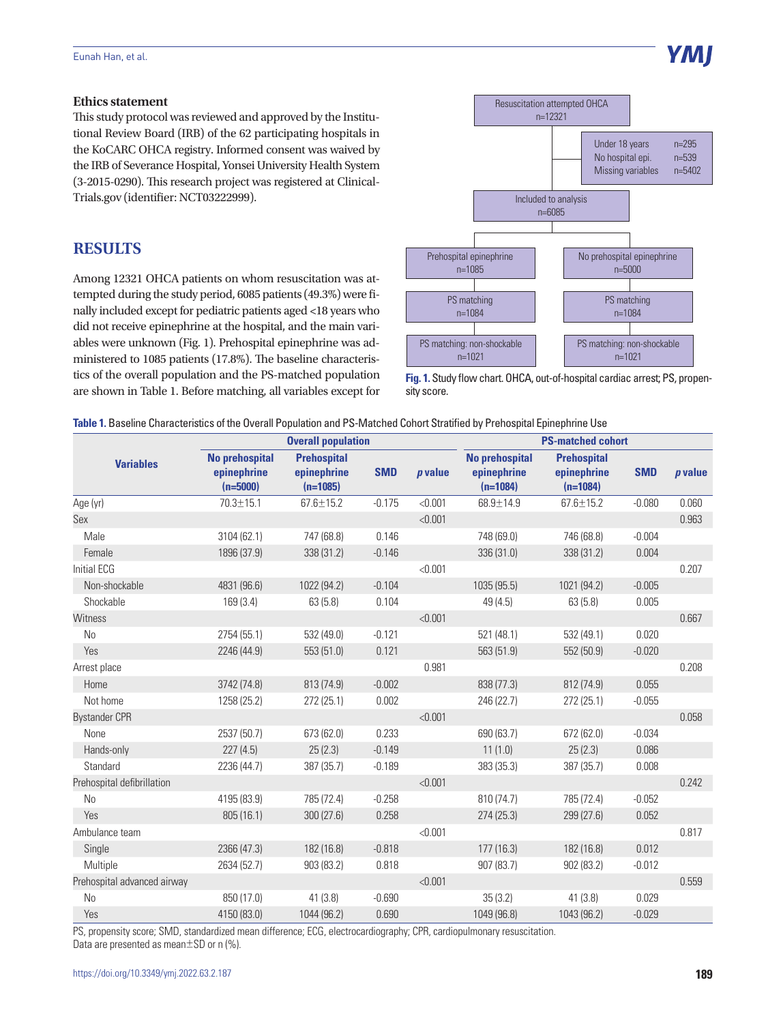#### **Ethics statement**

This study protocol was reviewed and approved by the Institutional Review Board (IRB) of the 62 participating hospitals in the KoCARC OHCA registry. Informed consent was waived by the IRB of Severance Hospital, Yonsei University Health System (3-2015-0290). This research project was registered at Clinical-Trials.gov (identifier: NCT03222999).

## **RESULTS**

Among 12321 OHCA patients on whom resuscitation was attempted during the study period, 6085 patients (49.3%) were finally included except for pediatric patients aged <18 years who did not receive epinephrine at the hospital, and the main variables were unknown (Fig. 1). Prehospital epinephrine was administered to 1085 patients (17.8%). The baseline characteristics of the overall population and the PS-matched population are shown in Table 1. Before matching, all variables except for



Y MI

**Table 1.** Baseline Characteristics of the Overall Population and PS-Matched Cohort Stratified by Prehospital Epinephrine Use

|                             |                                                    | <b>Overall population</b>                       |            |           | <b>PS-matched cohort</b>                           |                                                 |            |           |
|-----------------------------|----------------------------------------------------|-------------------------------------------------|------------|-----------|----------------------------------------------------|-------------------------------------------------|------------|-----------|
| <b>Variables</b>            | <b>No prehospital</b><br>epinephrine<br>$(n=5000)$ | <b>Prehospital</b><br>epinephrine<br>$(n=1085)$ | <b>SMD</b> | $p$ value | <b>No prehospital</b><br>epinephrine<br>$(n=1084)$ | <b>Prehospital</b><br>epinephrine<br>$(n=1084)$ | <b>SMD</b> | $p$ value |
| Age (yr)                    | $70.3 \pm 15.1$                                    | $67.6 \pm 15.2$                                 | $-0.175$   | < 0.001   | 68.9±14.9                                          | $67.6 \pm 15.2$                                 | $-0.080$   | 0.060     |
| Sex                         |                                                    |                                                 |            | < 0.001   |                                                    |                                                 |            | 0.963     |
| Male                        | 3104 (62.1)                                        | 747 (68.8)                                      | 0.146      |           | 748 (69.0)                                         | 746 (68.8)                                      | $-0.004$   |           |
| Female                      | 1896 (37.9)                                        | 338 (31.2)                                      | $-0.146$   |           | 336 (31.0)                                         | 338 (31.2)                                      | 0.004      |           |
| Initial ECG                 |                                                    |                                                 |            | < 0.001   |                                                    |                                                 |            | 0.207     |
| Non-shockable               | 4831 (96.6)                                        | 1022 (94.2)                                     | $-0.104$   |           | 1035 (95.5)                                        | 1021 (94.2)                                     | $-0.005$   |           |
| Shockable                   | 169(3.4)                                           | 63(5.8)                                         | 0.104      |           | 49 (4.5)                                           | 63(5.8)                                         | 0.005      |           |
| <b>Witness</b>              |                                                    |                                                 |            | < 0.001   |                                                    |                                                 |            | 0.667     |
| N <sub>0</sub>              | 2754 (55.1)                                        | 532 (49.0)                                      | $-0.121$   |           | 521 (48.1)                                         | 532 (49.1)                                      | 0.020      |           |
| Yes                         | 2246 (44.9)                                        | 553 (51.0)                                      | 0.121      |           | 563 (51.9)                                         | 552 (50.9)                                      | $-0.020$   |           |
| Arrest place                |                                                    |                                                 |            | 0.981     |                                                    |                                                 |            | 0.208     |
| Home                        | 3742 (74.8)                                        | 813 (74.9)                                      | $-0.002$   |           | 838 (77.3)                                         | 812 (74.9)                                      | 0.055      |           |
| Not home                    | 1258 (25.2)                                        | 272(25.1)                                       | 0.002      |           | 246 (22.7)                                         | 272 (25.1)                                      | $-0.055$   |           |
| <b>Bystander CPR</b>        |                                                    |                                                 |            | < 0.001   |                                                    |                                                 |            | 0.058     |
| None                        | 2537 (50.7)                                        | 673 (62.0)                                      | 0.233      |           | 690 (63.7)                                         | 672 (62.0)                                      | $-0.034$   |           |
| Hands-only                  | 227(4.5)                                           | 25(2.3)                                         | $-0.149$   |           | 11(1.0)                                            | 25(2.3)                                         | 0.086      |           |
| Standard                    | 2236 (44.7)                                        | 387 (35.7)                                      | $-0.189$   |           | 383 (35.3)                                         | 387 (35.7)                                      | 0.008      |           |
| Prehospital defibrillation  |                                                    |                                                 |            | < 0.001   |                                                    |                                                 |            | 0.242     |
| No                          | 4195 (83.9)                                        | 785 (72.4)                                      | $-0.258$   |           | 810 (74.7)                                         | 785 (72.4)                                      | $-0.052$   |           |
| Yes                         | 805 (16.1)                                         | 300(27.6)                                       | 0.258      |           | 274(25.3)                                          | 299 (27.6)                                      | 0.052      |           |
| Ambulance team              |                                                    |                                                 |            | < 0.001   |                                                    |                                                 |            | 0.817     |
| Single                      | 2366 (47.3)                                        | 182 (16.8)                                      | $-0.818$   |           | 177(16.3)                                          | 182 (16.8)                                      | 0.012      |           |
| Multiple                    | 2634 (52.7)                                        | 903 (83.2)                                      | 0.818      |           | 907 (83.7)                                         | 902 (83.2)                                      | $-0.012$   |           |
| Prehospital advanced airway |                                                    |                                                 |            | < 0.001   |                                                    |                                                 |            | 0.559     |
| <b>No</b>                   | 850 (17.0)                                         | 41(3.8)                                         | $-0.690$   |           | 35(3.2)                                            | 41(3.8)                                         | 0.029      |           |
| Yes                         | 4150 (83.0)                                        | 1044 (96.2)                                     | 0.690      |           | 1049 (96.8)                                        | 1043 (96.2)                                     | $-0.029$   |           |

PS, propensity score; SMD, standardized mean difference; ECG, electrocardiography; CPR, cardiopulmonary resuscitation. Data are presented as mean±SD or n (%).

**Fig. 1.** Study flow chart. OHCA, out-of-hospital cardiac arrest; PS, propensity score.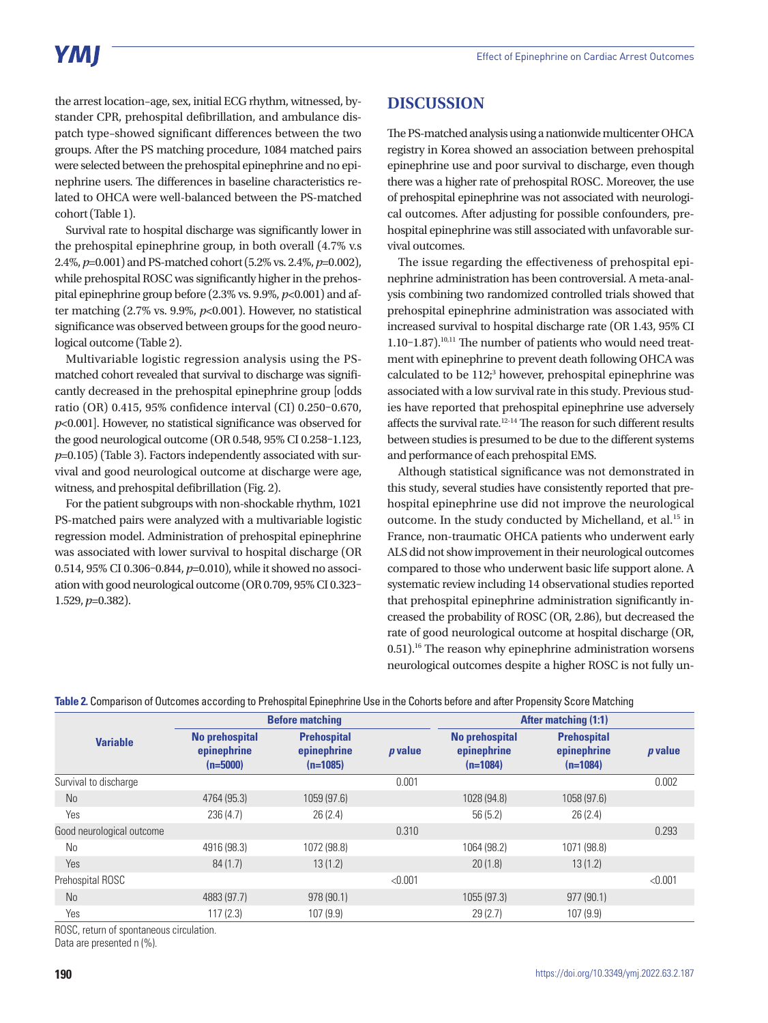# YMI

the arrest location–age, sex, initial ECG rhythm, witnessed, bystander CPR, prehospital defibrillation, and ambulance dispatch type–showed significant differences between the two groups. After the PS matching procedure, 1084 matched pairs were selected between the prehospital epinephrine and no epinephrine users. The differences in baseline characteristics related to OHCA were well-balanced between the PS-matched cohort (Table 1).

Survival rate to hospital discharge was significantly lower in the prehospital epinephrine group, in both overall (4.7% v.s 2.4%, *p*=0.001) and PS-matched cohort (5.2% vs. 2.4%, *p*=0.002), while prehospital ROSC was significantly higher in the prehospital epinephrine group before (2.3% vs. 9.9%, *p*<0.001) and after matching (2.7% vs. 9.9%, *p*<0.001). However, no statistical significance was observed between groups for the good neurological outcome (Table 2).

Multivariable logistic regression analysis using the PSmatched cohort revealed that survival to discharge was significantly decreased in the prehospital epinephrine group [odds ratio (OR) 0.415, 95% confidence interval (CI) 0.250–0.670, *p*<0.001]. However, no statistical significance was observed for the good neurological outcome (OR 0.548, 95% CI 0.258–1.123, *p*=0.105) (Table 3). Factors independently associated with survival and good neurological outcome at discharge were age, witness, and prehospital defibrillation (Fig. 2).

For the patient subgroups with non-shockable rhythm, 1021 PS-matched pairs were analyzed with a multivariable logistic regression model. Administration of prehospital epinephrine was associated with lower survival to hospital discharge (OR 0.514, 95% CI 0.306–0.844, *p*=0.010), while it showed no association with good neurological outcome (OR 0.709, 95% CI 0.323– 1.529, *p*=0.382).

## **DISCUSSION**

The PS-matched analysis using a nationwide multicenter OHCA registry in Korea showed an association between prehospital epinephrine use and poor survival to discharge, even though there was a higher rate of prehospital ROSC. Moreover, the use of prehospital epinephrine was not associated with neurological outcomes. After adjusting for possible confounders, prehospital epinephrine was still associated with unfavorable survival outcomes.

The issue regarding the effectiveness of prehospital epinephrine administration has been controversial. A meta-analysis combining two randomized controlled trials showed that prehospital epinephrine administration was associated with increased survival to hospital discharge rate (OR 1.43, 95% CI 1.10–1.87).<sup>10,11</sup> The number of patients who would need treatment with epinephrine to prevent death following OHCA was  $calculated$  to be  $112<sup>3</sup>$  however, prehospital epinephrine was associated with a low survival rate in this study. Previous studies have reported that prehospital epinephrine use adversely affects the survival rate.12-14 The reason for such different results between studies is presumed to be due to the different systems and performance of each prehospital EMS.

Although statistical significance was not demonstrated in this study, several studies have consistently reported that prehospital epinephrine use did not improve the neurological outcome. In the study conducted by Michelland, et al.<sup>15</sup> in France, non-traumatic OHCA patients who underwent early ALS did not show improvement in their neurological outcomes compared to those who underwent basic life support alone. A systematic review including 14 observational studies reported that prehospital epinephrine administration significantly increased the probability of ROSC (OR, 2.86), but decreased the rate of good neurological outcome at hospital discharge (OR, 0.51).<sup>16</sup> The reason why epinephrine administration worsens neurological outcomes despite a higher ROSC is not fully un-

|                           | <b>Before matching</b>                             |                                                 |                | <b>After matching (1:1)</b>                        |                                                 |                |
|---------------------------|----------------------------------------------------|-------------------------------------------------|----------------|----------------------------------------------------|-------------------------------------------------|----------------|
| <b>Variable</b>           | <b>No prehospital</b><br>epinephrine<br>$(n=5000)$ | <b>Prehospital</b><br>epinephrine<br>$(n=1085)$ | <i>p</i> value | <b>No prehospital</b><br>epinephrine<br>$(n=1084)$ | <b>Prehospital</b><br>epinephrine<br>$(n=1084)$ | <i>p</i> value |
| Survival to discharge     |                                                    |                                                 | 0.001          |                                                    |                                                 | 0.002          |
| N <sub>o</sub>            | 4764 (95.3)                                        | 1059 (97.6)                                     |                | 1028 (94.8)                                        | 1058 (97.6)                                     |                |
| Yes                       | 236 (4.7)                                          | 26(2.4)                                         |                | 56(5.2)                                            | 26(2.4)                                         |                |
| Good neurological outcome |                                                    |                                                 | 0.310          |                                                    |                                                 | 0.293          |
| No                        | 4916 (98.3)                                        | 1072 (98.8)                                     |                | 1064 (98.2)                                        | 1071 (98.8)                                     |                |
| Yes                       | 84(1.7)                                            | 13(1.2)                                         |                | 20(1.8)                                            | 13(1.2)                                         |                |
| Prehospital ROSC          |                                                    |                                                 | < 0.001        |                                                    |                                                 | < 0.001        |
| <b>No</b>                 | 4883 (97.7)                                        | 978 (90.1)                                      |                | 1055 (97.3)                                        | 977 (90.1)                                      |                |
| Yes                       | 117(2.3)                                           | 107 (9.9)                                       |                | 29(2.7)                                            | 107(9.9)                                        |                |

**Table 2.** Comparison of Outcomes according to Prehospital Epinephrine Use in the Cohorts before and after Propensity Score Matching

ROSC, return of spontaneous circulation.

Data are presented n (%).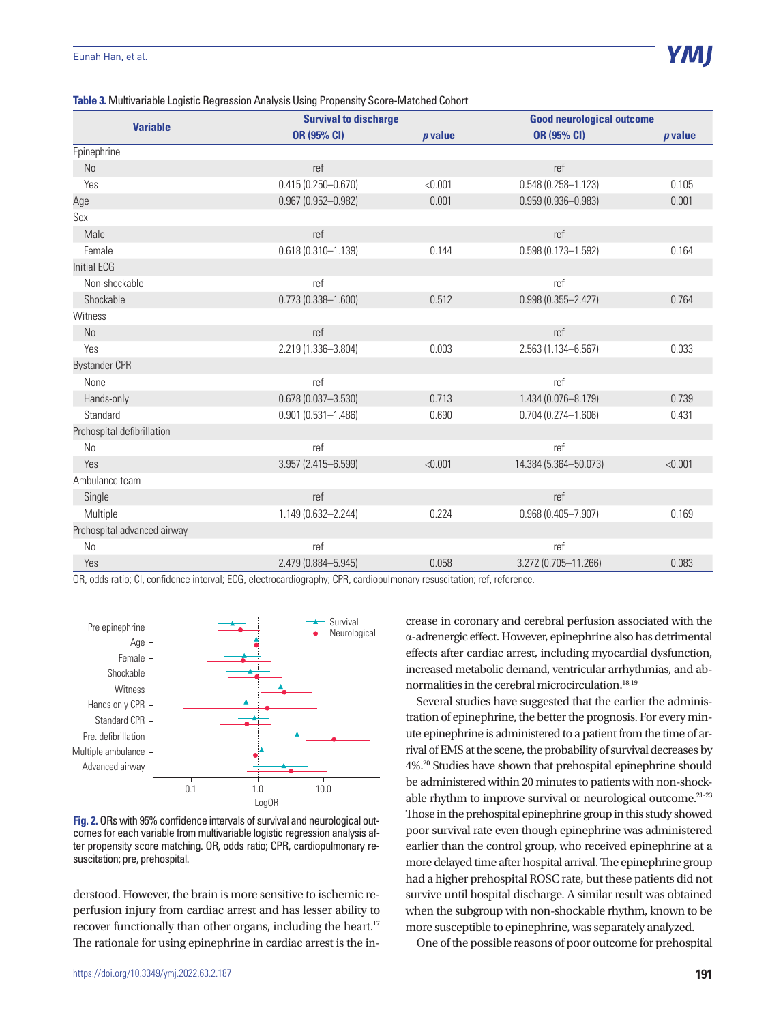|  |  |  | Table 3. Multivariable Logistic Regression Analysis Using Propensity Score-Matched Cohort |  |
|--|--|--|-------------------------------------------------------------------------------------------|--|
|  |  |  |                                                                                           |  |

|                             | <b>Survival to discharge</b> |           | <b>Good neurological outcome</b> |           |  |
|-----------------------------|------------------------------|-----------|----------------------------------|-----------|--|
| <b>Variable</b>             | OR (95% CI)                  | $p$ value | <b>OR (95% CI)</b>               | $p$ value |  |
| Epinephrine                 |                              |           |                                  |           |  |
| No                          | ref                          |           | ref                              |           |  |
| Yes                         | $0.415(0.250 - 0.670)$       | < 0.001   | $0.548(0.258 - 1.123)$           | 0.105     |  |
| Age                         | $0.967(0.952 - 0.982)$       | 0.001     | $0.959(0.936 - 0.983)$           | 0.001     |  |
| Sex                         |                              |           |                                  |           |  |
| Male                        | ref                          |           | ref                              |           |  |
| Female                      | $0.618(0.310 - 1.139)$       | 0.144     | $0.598(0.173 - 1.592)$           | 0.164     |  |
| <b>Initial ECG</b>          |                              |           |                                  |           |  |
| Non-shockable               | ref                          |           | ref                              |           |  |
| Shockable                   | $0.773(0.338 - 1.600)$       | 0.512     | $0.998(0.355 - 2.427)$           | 0.764     |  |
| Witness                     |                              |           |                                  |           |  |
| <b>No</b>                   | ref                          |           | ref                              |           |  |
| Yes                         | 2.219 (1.336-3.804)          | 0.003     | 2.563 (1.134-6.567)              | 0.033     |  |
| <b>Bystander CPR</b>        |                              |           |                                  |           |  |
| None                        | ref                          |           | ref                              |           |  |
| Hands-only                  | $0.678(0.037 - 3.530)$       | 0.713     | 1.434 (0.076-8.179)              | 0.739     |  |
| Standard                    | $0.901(0.531 - 1.486)$       | 0.690     | $0.704(0.274 - 1.606)$           | 0.431     |  |
| Prehospital defibrillation  |                              |           |                                  |           |  |
| <b>No</b>                   | ref                          |           | ref                              |           |  |
| Yes                         | 3.957 (2.415-6.599)          | < 0.001   | 14.384 (5.364-50.073)            | < 0.001   |  |
| Ambulance team              |                              |           |                                  |           |  |
| Single                      | ref                          |           | ref                              |           |  |
| Multiple                    | 1.149 (0.632-2.244)          | 0.224     | $0.968(0.405 - 7.907)$           | 0.169     |  |
| Prehospital advanced airway |                              |           |                                  |           |  |
| <b>No</b>                   | ref                          |           | ref                              |           |  |
| Yes                         | 2.479 (0.884-5.945)          | 0.058     | 3.272 (0.705-11.266)             | 0.083     |  |

OR, odds ratio; CI, confidence interval; ECG, electrocardiography; CPR, cardiopulmonary resuscitation; ref, reference.



**Fig. 2.** ORs with 95% confidence intervals of survival and neurological outcomes for each variable from multivariable logistic regression analysis after propensity score matching. OR, odds ratio; CPR, cardiopulmonary resuscitation; pre, prehospital.

derstood. However, the brain is more sensitive to ischemic reperfusion injury from cardiac arrest and has lesser ability to recover functionally than other organs, including the heart.<sup>17</sup> The rationale for using epinephrine in cardiac arrest is the increase in coronary and cerebral perfusion associated with the α-adrenergic effect. However, epinephrine also has detrimental effects after cardiac arrest, including myocardial dysfunction, increased metabolic demand, ventricular arrhythmias, and abnormalities in the cerebral microcirculation.<sup>18,19</sup>

Several studies have suggested that the earlier the administration of epinephrine, the better the prognosis. For every minute epinephrine is administered to a patient from the time of arrival of EMS at the scene, the probability of survival decreases by 4%.20 Studies have shown that prehospital epinephrine should be administered within 20 minutes to patients with non-shockable rhythm to improve survival or neurological outcome.<sup>21-23</sup> Those in the prehospital epinephrine group in this study showed poor survival rate even though epinephrine was administered earlier than the control group, who received epinephrine at a more delayed time after hospital arrival. The epinephrine group had a higher prehospital ROSC rate, but these patients did not survive until hospital discharge. A similar result was obtained when the subgroup with non-shockable rhythm, known to be more susceptible to epinephrine, was separately analyzed.

One of the possible reasons of poor outcome for prehospital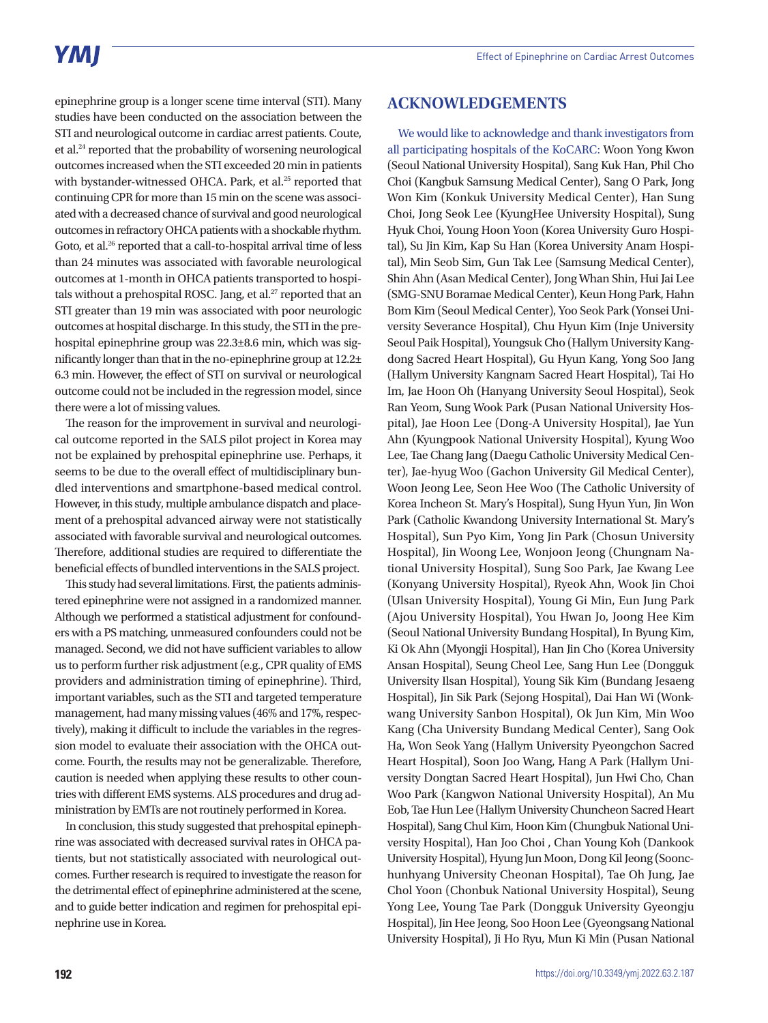epinephrine group is a longer scene time interval (STI). Many studies have been conducted on the association between the STI and neurological outcome in cardiac arrest patients. Coute, et al.24 reported that the probability of worsening neurological outcomes increased when the STI exceeded 20 min in patients with bystander-witnessed OHCA. Park, et al.<sup>25</sup> reported that continuing CPR for more than 15 min on the scene was associated with a decreased chance of survival and good neurological outcomes in refractory OHCA patients with a shockable rhythm. Goto, et al.<sup>26</sup> reported that a call-to-hospital arrival time of less than 24 minutes was associated with favorable neurological outcomes at 1-month in OHCA patients transported to hospitals without a prehospital ROSC. Jang, et al.<sup>27</sup> reported that an STI greater than 19 min was associated with poor neurologic outcomes at hospital discharge. In this study, the STI in the prehospital epinephrine group was 22.3±8.6 min, which was significantly longer than that in the no-epinephrine group at 12.2± 6.3 min. However, the effect of STI on survival or neurological outcome could not be included in the regression model, since there were a lot of missing values.

The reason for the improvement in survival and neurological outcome reported in the SALS pilot project in Korea may not be explained by prehospital epinephrine use. Perhaps, it seems to be due to the overall effect of multidisciplinary bundled interventions and smartphone-based medical control. However, in this study, multiple ambulance dispatch and placement of a prehospital advanced airway were not statistically associated with favorable survival and neurological outcomes. Therefore, additional studies are required to differentiate the beneficial effects of bundled interventions in the SALS project.

This study had several limitations. First, the patients administered epinephrine were not assigned in a randomized manner. Although we performed a statistical adjustment for confounders with a PS matching, unmeasured confounders could not be managed. Second, we did not have sufficient variables to allow us to perform further risk adjustment (e.g., CPR quality of EMS providers and administration timing of epinephrine). Third, important variables, such as the STI and targeted temperature management, had many missing values (46% and 17%, respectively), making it difficult to include the variables in the regression model to evaluate their association with the OHCA outcome. Fourth, the results may not be generalizable. Therefore, caution is needed when applying these results to other countries with different EMS systems. ALS procedures and drug administration by EMTs are not routinely performed in Korea.

In conclusion, this study suggested that prehospital epinephrine was associated with decreased survival rates in OHCA patients, but not statistically associated with neurological outcomes. Further research is required to investigate the reason for the detrimental effect of epinephrine administered at the scene, and to guide better indication and regimen for prehospital epinephrine use in Korea.

## **ACKNOWLEDGEMENTS**

We would like to acknowledge and thank investigators from all participating hospitals of the KoCARC: Woon Yong Kwon (Seoul National University Hospital), Sang Kuk Han, Phil Cho Choi (Kangbuk Samsung Medical Center), Sang O Park, Jong Won Kim (Konkuk University Medical Center), Han Sung Choi, Jong Seok Lee (KyungHee University Hospital), Sung Hyuk Choi, Young Hoon Yoon (Korea University Guro Hospital), Su Jin Kim, Kap Su Han (Korea University Anam Hospital), Min Seob Sim, Gun Tak Lee (Samsung Medical Center), Shin Ahn (Asan Medical Center), Jong Whan Shin, Hui Jai Lee (SMG-SNU Boramae Medical Center), Keun Hong Park, Hahn Bom Kim (Seoul Medical Center), Yoo Seok Park (Yonsei University Severance Hospital), Chu Hyun Kim (Inje University Seoul Paik Hospital), Youngsuk Cho (Hallym University Kangdong Sacred Heart Hospital), Gu Hyun Kang, Yong Soo Jang (Hallym University Kangnam Sacred Heart Hospital), Tai Ho Im, Jae Hoon Oh (Hanyang University Seoul Hospital), Seok Ran Yeom, Sung Wook Park (Pusan National University Hospital), Jae Hoon Lee (Dong-A University Hospital), Jae Yun Ahn (Kyungpook National University Hospital), Kyung Woo Lee, Tae Chang Jang (Daegu Catholic University Medical Center), Jae-hyug Woo (Gachon University Gil Medical Center), Woon Jeong Lee, Seon Hee Woo (The Catholic University of Korea Incheon St. Mary's Hospital), Sung Hyun Yun, Jin Won Park (Catholic Kwandong University International St. Mary's Hospital), Sun Pyo Kim, Yong Jin Park (Chosun University Hospital), Jin Woong Lee, Wonjoon Jeong (Chungnam National University Hospital), Sung Soo Park, Jae Kwang Lee (Konyang University Hospital), Ryeok Ahn, Wook Jin Choi (Ulsan University Hospital), Young Gi Min, Eun Jung Park (Ajou University Hospital), You Hwan Jo, Joong Hee Kim (Seoul National University Bundang Hospital), In Byung Kim, Ki Ok Ahn (Myongji Hospital), Han Jin Cho (Korea University Ansan Hospital), Seung Cheol Lee, Sang Hun Lee (Dongguk University Ilsan Hospital), Young Sik Kim (Bundang Jesaeng Hospital), Jin Sik Park (Sejong Hospital), Dai Han Wi (Wonkwang University Sanbon Hospital), Ok Jun Kim, Min Woo Kang (Cha University Bundang Medical Center), Sang Ook Ha, Won Seok Yang (Hallym University Pyeongchon Sacred Heart Hospital), Soon Joo Wang, Hang A Park (Hallym University Dongtan Sacred Heart Hospital), Jun Hwi Cho, Chan Woo Park (Kangwon National University Hospital), An Mu Eob, Tae Hun Lee (Hallym University Chuncheon Sacred Heart Hospital), Sang Chul Kim, Hoon Kim (Chungbuk National University Hospital), Han Joo Choi , Chan Young Koh (Dankook University Hospital), Hyung Jun Moon, Dong Kil Jeong (Soonchunhyang University Cheonan Hospital), Tae Oh Jung, Jae Chol Yoon (Chonbuk National University Hospital), Seung Yong Lee, Young Tae Park (Dongguk University Gyeongju Hospital), Jin Hee Jeong, Soo Hoon Lee (Gyeongsang National University Hospital), Ji Ho Ryu, Mun Ki Min (Pusan National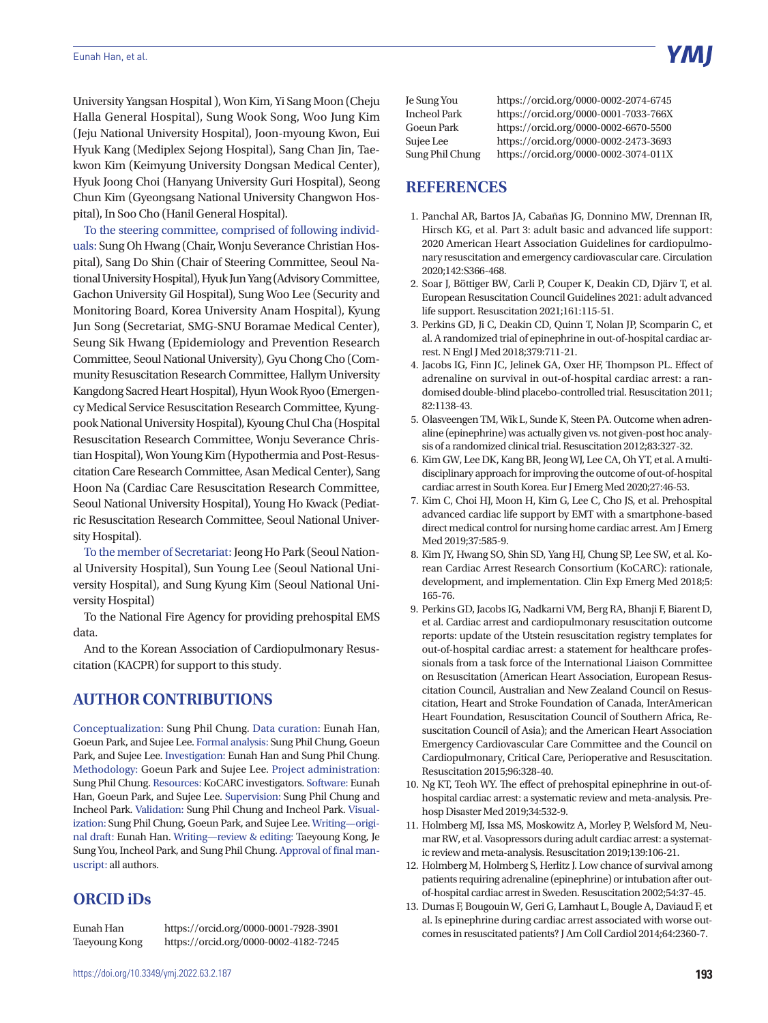University Yangsan Hospital ), Won Kim, Yi Sang Moon (Cheju Halla General Hospital), Sung Wook Song, Woo Jung Kim (Jeju National University Hospital), Joon-myoung Kwon, Eui Hyuk Kang (Mediplex Sejong Hospital), Sang Chan Jin, Taekwon Kim (Keimyung University Dongsan Medical Center), Hyuk Joong Choi (Hanyang University Guri Hospital), Seong Chun Kim (Gyeongsang National University Changwon Hospital), In Soo Cho (Hanil General Hospital).

To the steering committee, comprised of following individuals: Sung Oh Hwang (Chair, Wonju Severance Christian Hospital), Sang Do Shin (Chair of Steering Committee, Seoul National University Hospital), Hyuk Jun Yang (Advisory Committee, Gachon University Gil Hospital), Sung Woo Lee (Security and Monitoring Board, Korea University Anam Hospital), Kyung Jun Song (Secretariat, SMG-SNU Boramae Medical Center), Seung Sik Hwang (Epidemiology and Prevention Research Committee, Seoul National University), Gyu Chong Cho (Community Resuscitation Research Committee, Hallym University Kangdong Sacred Heart Hospital), Hyun Wook Ryoo (Emergency Medical Service Resuscitation Research Committee, Kyungpook National University Hospital), Kyoung Chul Cha (Hospital Resuscitation Research Committee, Wonju Severance Christian Hospital), Won Young Kim (Hypothermia and Post-Resuscitation Care Research Committee, Asan Medical Center), Sang Hoon Na (Cardiac Care Resuscitation Research Committee, Seoul National University Hospital), Young Ho Kwack (Pediatric Resuscitation Research Committee, Seoul National University Hospital).

To the member of Secretariat: Jeong Ho Park (Seoul National University Hospital), Sun Young Lee (Seoul National University Hospital), and Sung Kyung Kim (Seoul National University Hospital)

To the National Fire Agency for providing prehospital EMS data.

And to the Korean Association of Cardiopulmonary Resuscitation (KACPR) for support to this study.

## **AUTHOR CONTRIBUTIONS**

Conceptualization: Sung Phil Chung. Data curation: Eunah Han, Goeun Park, and Sujee Lee. Formal analysis: Sung Phil Chung, Goeun Park, and Sujee Lee. Investigation: Eunah Han and Sung Phil Chung. Methodology: Goeun Park and Sujee Lee. Project administration: Sung Phil Chung. Resources: KoCARC investigators. Software: Eunah Han, Goeun Park, and Sujee Lee. Supervision: Sung Phil Chung and Incheol Park. Validation: Sung Phil Chung and Incheol Park. Visualization: Sung Phil Chung, Goeun Park, and Sujee Lee. Writing—original draft: Eunah Han. Writing—review & editing: Taeyoung Kong, Je Sung You, Incheol Park, and Sung Phil Chung. Approval of final manuscript: all authors.

## **ORCID iDs**

Eunah Han https://orcid.org/0000-0001-7928-3901 Taeyoung Kong https://orcid.org/0000-0002-4182-7245

| Je Sung You         | hti |
|---------------------|-----|
| <b>Incheol Park</b> | hti |
| <b>Goeun Park</b>   | hti |
| Sujee Lee           | hti |
| Sung Phil Chung     | hti |

tps://orcid.org/0000-0002-2074-6745 tps://orcid.org/0000-0001-7033-766X tps://orcid.org/0000-0002-6670-5500 tps://orcid.org/0000-0002-2473-3693 tps://orcid.org/0000-0002-3074-011X

### **REFERENCES**

- 1. Panchal AR, Bartos JA, Cabañas JG, Donnino MW, Drennan IR, Hirsch KG, et al. Part 3: adult basic and advanced life support: 2020 American Heart Association Guidelines for cardiopulmonary resuscitation and emergency cardiovascular care. Circulation 2020;142:S366-468.
- 2. Soar J, Böttiger BW, Carli P, Couper K, Deakin CD, Djärv T, et al. European Resuscitation Council Guidelines 2021: adult advanced life support. Resuscitation 2021;161:115-51.
- 3. Perkins GD, Ji C, Deakin CD, Quinn T, Nolan JP, Scomparin C, et al. A randomized trial of epinephrine in out-of-hospital cardiac arrest. N Engl J Med 2018;379:711-21.
- 4. Jacobs IG, Finn JC, Jelinek GA, Oxer HF, Thompson PL. Effect of adrenaline on survival in out-of-hospital cardiac arrest: a randomised double-blind placebo-controlled trial. Resuscitation 2011; 82:1138-43.
- 5. Olasveengen TM, Wik L, Sunde K, Steen PA. Outcome when adrenaline (epinephrine) was actually given vs. not given-post hoc analysis of a randomized clinical trial. Resuscitation 2012;83:327-32.
- 6. Kim GW, Lee DK, Kang BR, Jeong WJ, Lee CA, Oh YT, et al. A multidisciplinary approach for improving the outcome of out-of-hospital cardiac arrest in South Korea. Eur J Emerg Med 2020;27:46-53.
- 7. Kim C, Choi HJ, Moon H, Kim G, Lee C, Cho JS, et al. Prehospital advanced cardiac life support by EMT with a smartphone-based direct medical control for nursing home cardiac arrest. Am J Emerg Med 2019;37:585-9.
- 8. Kim JY, Hwang SO, Shin SD, Yang HJ, Chung SP, Lee SW, et al. Korean Cardiac Arrest Research Consortium (KoCARC): rationale, development, and implementation. Clin Exp Emerg Med 2018;5: 165-76.
- 9. Perkins GD, Jacobs IG, Nadkarni VM, Berg RA, Bhanji F, Biarent D, et al. Cardiac arrest and cardiopulmonary resuscitation outcome reports: update of the Utstein resuscitation registry templates for out-of-hospital cardiac arrest: a statement for healthcare professionals from a task force of the International Liaison Committee on Resuscitation (American Heart Association, European Resuscitation Council, Australian and New Zealand Council on Resuscitation, Heart and Stroke Foundation of Canada, InterAmerican Heart Foundation, Resuscitation Council of Southern Africa, Resuscitation Council of Asia); and the American Heart Association Emergency Cardiovascular Care Committee and the Council on Cardiopulmonary, Critical Care, Perioperative and Resuscitation. Resuscitation 2015;96:328-40.
- 10. Ng KT, Teoh WY. The effect of prehospital epinephrine in out-ofhospital cardiac arrest: a systematic review and meta-analysis. Prehosp Disaster Med 2019;34:532-9.
- 11. Holmberg MJ, Issa MS, Moskowitz A, Morley P, Welsford M, Neumar RW, et al. Vasopressors during adult cardiac arrest: a systematic review and meta-analysis. Resuscitation 2019;139:106-21.
- 12. Holmberg M, Holmberg S, Herlitz J. Low chance of survival among patients requiring adrenaline (epinephrine) or intubation after outof-hospital cardiac arrest in Sweden. Resuscitation 2002;54:37-45.
- 13. Dumas F, Bougouin W, Geri G, Lamhaut L, Bougle A, Daviaud F, et al. Is epinephrine during cardiac arrest associated with worse outcomes in resuscitated patients? J Am Coll Cardiol 2014;64:2360-7.